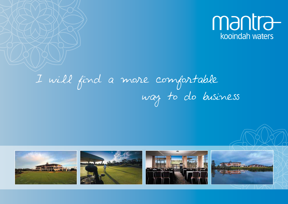

# I will find a more comfortable way to do business

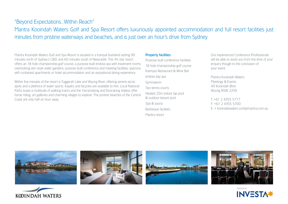# "Beyond Expectations...Within Reach"

Mantra Kooindah Waters Golf and Spa Resort offers luxuriously appointed accommodation and full resort facilities just minutes from pristine waterways and beaches, and is just over an hour's drive from Sydney.

Mantra Kooindah Waters Golf and Spa Resort is situated in a tranquil bushland setting 90 minutes north of Sydney's CBD, and 60 minutes south of Newcastle. This 4½ star resort offers an 18 hole championship golf course, a purpose built endota spa with treatment rooms overlooking zen-style water gardens, purpose built conference and meeting facilities, spacious self-contained apartments or hotel accommodation and an exceptional dining experience.

Within five minutes of the resort is Tuggerah Lake and Wyong River, offering serene picnic spots and a plethora of water sports. Kayaks and bicycles are available to hire. Local National Parks boast a multitude of walking tracks and the Yarramalong and Dooralong Valleys offer horse riding, art galleries and charming villages to explore. The pristine beaches of the Central Coast are only half an hour away.

#### Property facilities

Purpose built conference facilities 18 hole championship golf course Karinyas Restaurant & Wine Bar endota day spa Gymnasium Two tennis courts Heated 25m indoor lap pool & outdoor leisure pool Spa & sauna Barbeque facilities Mantra resort

Our experienced Conference Professionals will be able to assist you from the time of your enquiry though to the conclusion of your event.

Mantra Kooindah Waters Meetings & Events 40 Kooindah Blvd Wyong NSW 2259

T: +61 2 4355 5777 F: +61 2 4355 5700 E: + kooindahwaters.conf@mantra.com.au











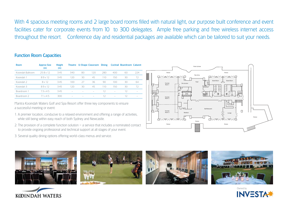With 4 spacious meeting rooms and 2 large board rooms filled with natural light, our purpose built conference and event facilities cater for corporate events from 10 to 300 delegates. Ample free parking and free wireless internet access throughout the resort. Conference day and residential packages are available which can be tailored to suit your needs.

# Function Room Capacities

| Room              | <b>Approx Size</b><br>(m) | <b>Height</b><br>(m) |                          |    | Theatre U-Shape Classroom Dining |     |                   | <b>Cocktail Boardroom Cabaret</b> |                          |
|-------------------|---------------------------|----------------------|--------------------------|----|----------------------------------|-----|-------------------|-----------------------------------|--------------------------|
| Kooindah Ballroom | $25.8 \times 12$          | 3.45                 | 340                      | 80 | 120                              | 280 | 400               | 60                                | 224                      |
| Kooindah 1        | $8.9 \times 12$           | 3.45                 | 120                      | 30 | 45                               | 110 | 150               | 30                                | 72                       |
| Kooindah 2        | 8 x 12                    | 345                  | 100                      | 27 | 36                               | 90  | 100               | 30                                | 64                       |
| Kooindah 3        | $8.9 \times 12$           | 345                  | 120                      | 30 | 45                               | 110 | 150               | 30                                | 72                       |
| Boardroom 1       | 73x45                     | 3.45                 | -                        |    |                                  | 12  | $\qquad \qquad -$ | 12                                | $\overline{\phantom{a}}$ |
| Boardroom 2       | $/1 \times 4.5$           | 300                  | $\overline{\phantom{a}}$ |    |                                  | 1つ  | -                 | $\Box$                            | $\overline{\phantom{a}}$ |

Mantra Kooindah Waters Golf and Spa Resort offer three key components to ensure a successful meeting or event:

- 1. A premier location, conducive to a relaxed environment and offering a range of activities, while still being within easy reach of both Sydney and Newcastle.
- 2. The provision of a complete function solution a service that includes a nominated contact to provide ongoing professional and technical support at all stages of your event.
- 3. Several quality dining options offering world-class menus and service.













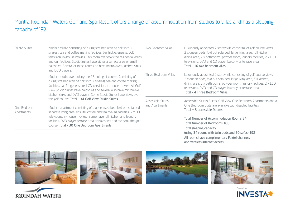# Mantra Kooindah Waters Golf and Spa Resort offers a range of accommodation from studios to villas and has a sleeping capacity of 192.

| <b>Studio Suites</b>                                                                                                                                                                                                                                                                                                                                                                  | Modern studio consisting of a king size bed (can be split into 2)<br>singles), tea and coffee making facilities, bar fridge, ensuite, LCD<br>television, in-house movies. This room overlooks the residential areas<br>and our facilities. Studio Suites have either a terrace area or small<br>balconies. Several of these rooms do have microwaves, kitchen sinks | Two Bedroom Villas   | Luxuriously appointed 2 storey villa consisting of golf course views,<br>2 x queen beds, fold out sofa bed, large living area, full kitchen,<br>dining area, 2 x bathrooms, powder room, laundry facilities, 2 x LCD<br>televisions, DVD and CD player, balcony or terrace area.<br>Total - 16 two bedroom villas.  |  |  |
|---------------------------------------------------------------------------------------------------------------------------------------------------------------------------------------------------------------------------------------------------------------------------------------------------------------------------------------------------------------------------------------|---------------------------------------------------------------------------------------------------------------------------------------------------------------------------------------------------------------------------------------------------------------------------------------------------------------------------------------------------------------------|----------------------|---------------------------------------------------------------------------------------------------------------------------------------------------------------------------------------------------------------------------------------------------------------------------------------------------------------------|--|--|
| and DVD players.<br>Modern studio overlooking the 18 hole golf course. Consisting of<br>a king size bed (can be split into 2 singles), tea and coffee making<br>facilities, bar fridge, ensuite, LCD television, in-house movies. All Golf<br>View Studio Suites have balconies and several also have microwave,<br>kitchen sinks and DVD players. Some Studio Suites have views over |                                                                                                                                                                                                                                                                                                                                                                     | Three Bedroom Villas | Luxuriously appointed 2 storey villa consisting of golf course views,<br>3 x queen beds, fold out sofa bed, large living area, full kitchen,<br>dining area, 2 x bathrooms, powder room, laundry facilities, 2 x LCD<br>televisions, DVD and CD player, balcony or terrace area.<br>Total - 4 Three Bedroom Villas. |  |  |
|                                                                                                                                                                                                                                                                                                                                                                                       | the golf course. Total - 34 Golf View Studio Suites.                                                                                                                                                                                                                                                                                                                | Accessible Suites    | Accessible Studio Suites, Golf View One Bedroom Apartments and a<br>One Bedroom Suite are available with disabled facilities.<br>Total $-5$ accessible Rooms.                                                                                                                                                       |  |  |
| One Bedroom<br>Apartments                                                                                                                                                                                                                                                                                                                                                             | Modern apartment consisting of a queen size bed, fold out sofa bed,<br>separate living area, ensuite, coffee and tea making facilities, 2 x LCD                                                                                                                                                                                                                     | and Apartments       |                                                                                                                                                                                                                                                                                                                     |  |  |
|                                                                                                                                                                                                                                                                                                                                                                                       | televisions, in-house movies. Some have full kitchen and laundry<br>facilities, DVD player, terrace area or balconies and overlook the golf<br>course. Total - 30 One Bedroom Apartments.                                                                                                                                                                           |                      | <b>Total Number of Accommodation Rooms 84</b><br><b>Total Number of Bedrooms 108</b><br>Total sleeping capacity<br>(using 34 rooms with twin beds and 50 sofas) 192                                                                                                                                                 |  |  |

All rooms have complimentary Foxtel channels and wireless internet access



KOINDAH WATERS

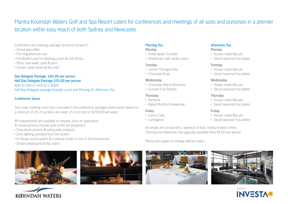# Mantra Kooindah Waters Golf and Spa Resort caters for conferences and meetings of all sizes and purposes in a premier location within easy reach of both Sydney and Newcastle.

#### Conference and meeting package inclusions consist of:

- Arrival tea/coffee
- Morning/afternoon tea
- Full Buffet Lunch or Working Lunch & Soft Drinks
- Mints, iced water, pads & pens
- Screen, white board & flip chart

## Day Delegate Package \$65.00 per person

Half Day Delegate Package \$55.00 per person 8am to 1pm or noon to 5:30pm Half Day Delegate package includes Lunch and Morning Or Afternoon Tea

## Conference Space

Your main meeting room hire is included in the conference packages listed above, based on a minimum of 25. If numbers are under 25 room hire of \$250.00 will apply.

AV requirements are available on request, price on application. In-house services include state of the art equipment:

- Drop down screens & ceiling data projector
- Zone lighting activated from the lectern
- In-house sound system & a plasma screen in one of the boardrooms
- Onsite whiteboards & flip charts





# Morning Tea

#### **Monday**

- Petite Apple Crumble
- Profiteroles with vanilla cream

#### **Tuesday**

- Lemon Meringue Pies
- Chocolate Eclair

#### **Wednesday**

- Chocolate Walnut Brownies
- Custard Fruit Tartlets

# **Thursday**

- Panforte
- Baked Ricotta Cheesecake

# Friday

- Carrot Cake
- Lamingtons

# Afternoon Tea

# **Monday**

- House-made Biscuits
- Sliced seasonal fruit platter

#### **Tuesday**

- House-made Biscuits
- Sliced seasonal fruit platter

#### **Wednesday**

- House-made Biscuits
- Sliced seasonal fruit platter

## **Thursday**

- House-made Biscuits
- Sliced seasonal fruit platter

#### **Friday**

- House-made Biscuits
- Sliced seasonal fruit platter

All breaks are served with a selection of teas, freshly brewed coffee. Morning and Afternoon Tea upgrades available from \$5.00 per person.

Menus are subject to change without notice.





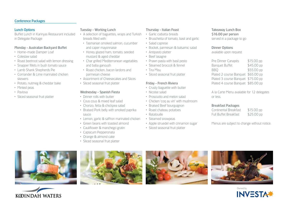#### Conference Packages

#### Lunch Options

Buffet Lunch in Karinyas Restaurant included in Delegate Package

# Monday - Australian Backyard Buffet

- Home-made Damper Loaf
- Coleslaw salad
- Roast beetroot salad with lemon dressing
- Snapper fillets in bush tomato sauce
- Lamb Shank Shepherds Pie
- Corriander & Lime marinated chicken skewers
- Potato, nutmeg & cheddar bake
- Minted peas
- Pavlova
- Sliced seasonal fruit platter

# Tuesday - Working Lunch

- A selection of baguettes, wraps and Turkish breads filled with:
- Tasmanian smoked salmon, cucumber and caper mayonnaise
- Honey glazed ham, tomato, seeded mustard & aged cheddar
- Char grilled Mediterranean vegetables and baba ganoush
- Roast chicken, bacon lardons and parmesan cheese
- Assortment of Cheesecakes and Slices
- Sliced seasonal fruit platter

# Wednesday - Spanish Fiesta

- Dinner rolls with butter
- Cous cous & mixed leaf salad
- Chorizo, fetta & chickpea salad
- Braised Pork belly with smoked paprika sauce
- Lemon, garlic & saffron marinated chicken
- Green beans with toasted almond
- Cauliflower & manchego gratin
- Capsicum Pepperonata
- Orange & almond cake
- Sliced seasonal fruit platter

#### Thursday - Italian Feast

- Garlic ciabatta breads
- Bruschetta of tomato, basil and garlic
- Salad caprese
- Rocket, parmesan & balsamic salad
- Antipasto platter
- Beef lasagne
- Prawn pasta with basil pesto
- Steamed broccoli & fennel
- Tira Misu
- Sliced seasonal fruit platter

#### Friday - French Riviera

- Crusty baguette with butter
- Nicoise salad
- Prosciutto and melon salad
- Chicken 'coq au vin' with mushroom
- Braised Beef bourguignon
- Roast chateau potatoes
- Ratatouille
- Steamed snowpeas
- Apple struedel with cinnamon sugar
- Sliced seasonal fruit platter

#### Takeaway Lunch Box \$16.00 per person served in a package to go

#### Dinner Options

available upon request

| Pre Dinner Canapés                 | \$15.00 pp |
|------------------------------------|------------|
| <b>Banquet Buffet</b>              | \$45.00 pp |
| <b>BBO</b>                         | \$55.00 pp |
| Plated 2 course Banquet \$65.00 pp |            |
| Plated 3 course Banquet \$75.00 pp |            |
| Plated 4 course Banquet \$85.00 pp |            |

A la Carte Menu available for 12 delegates or less.

#### Breakfast Packages

| Continental Breakfast        | $$15.00$ pp |
|------------------------------|-------------|
| <b>Full Buffet Breakfast</b> | \$25.00 pp  |

Menus are subject to change without notice.











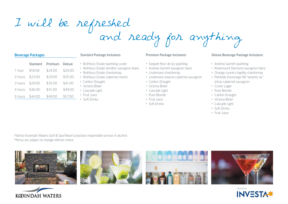# I will be refreshed and ready for anything

#### Beverage Packages

|         | <b>Standard</b> | Premium | Deluxe  |
|---------|-----------------|---------|---------|
| 1 hour  | \$18.00         | \$24.00 | \$29.00 |
| 2 hours | \$23.00         | \$29.00 | \$35.00 |
| 3 hours | \$29.00         | \$35.00 | \$41.00 |
| 4 hours | \$36.00         | \$41.00 | \$49.00 |
| 5 hours | \$44.00         | \$49.00 | \$57.00 |

#### Standard Package Inclusions

- Rothbury Estate sparkling cuvee
- Rothbury Estate sémillon sauvignon blanc
- Rothbury Estate chardonnay
- Rothbury Estate cabernet merlot
- Carlton Draught
- Victoria Bitter
- Cascade Light
- Fruit Juice
- Soft Drinks

#### Premium Package Inclusions

- Seppelt fleur de lys sparkling
- Andrew Garrett sauvignon blanc
- Lindemans chardonnay
- Lindemans reserve cabernet sauvignon
- Carlton Draught
- Victoria Bitter
- Cascade Light
- Pure Blonde
- Fruit Juice
- Soft Drinks

#### Deluxe Beverage Package Inclusions

- Andrew Garrett sparkling
- Rosemount Diamond sauvignon blanc
- Orange country Ingolby chardonnay
- Penfolds Koonunga Hill "seventy six" shiraz cabernet sauvignon
- Crown Lager
- Pure Blonde
- Carlton Draught
- Victoria Bitter
- Cascade Light
- Soft Drinks
- Fruit Juice

Mantra Kooindah Waters Golf & Spa Resort practices responsible service of alcohol. Menus are subject to change without notice.